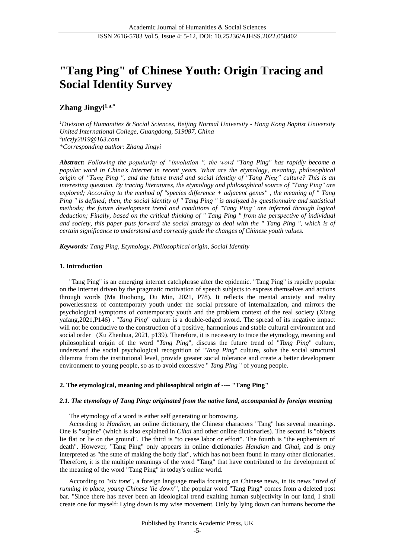# **"Tang Ping" of Chinese Youth: Origin Tracing and Social Identity Survey**

# **Zhang Jingyi1,a,\***

*<sup>1</sup>Division of Humanities & Social Sciences, Beijing Normal University - Hong Kong Baptist University United International College, Guangdong, 519087, China <sup>a</sup>[uiczjy2019@163.com](mailto:uiczjy2019@163.com)* \**Corresponding author: Zhang Jingyi*

*Abstract: Following the popularity of "involution ", the word "Tang Ping" has rapidly become a popular word in China's Internet in recent years. What are the etymology, meaning, philosophical origin of "Tang Ping ", and the future trend and social identity of "Tang Ping" culture? This is an interesting question. By tracing literatures, the etymology and philosophical source of "Tang Ping" are explored; According to the method of "species difference + adjacent genus" , the meaning of " Tang Ping " is defined; then, the social identity of " Tang Ping " is analyzed by questionnaire and statistical methods; the future development trend and conditions of "Tang Ping" are inferred through logical deduction; Finally, based on the critical thinking of " Tang Ping " from the perspective of individual and society, this paper puts forward the social strategy to deal with the " Tang Ping ", which is of certain significance to understand and correctly guide the changes of Chinese youth values.*

*Keywords: Tang Ping, Etymology, Philosophical origin, Social Identity*

## **1. Introduction**

"Tang Ping" is an emerging internet catchphrase after the epidemic. "Tang Ping" is rapidly popular on the Internet driven by the pragmatic motivation of speech subjects to express themselves and actions through words (Ma Ruohong, Du Min, 2021, P78). It reflects the mental anxiety and reality powerlessness of contemporary youth under the social pressure of internalization, and mirrors the psychological symptoms of contemporary youth and the problem context of the real society (Xiang yafang,2021,P146) . "*Tang Ping*" culture is a double-edged sword. The spread of its negative impact will not be conducive to the construction of a positive, harmonious and stable cultural environment and social order (Xu Zhenhua, 2021, p139). Therefore, it is necessary to trace the etymology, meaning and philosophical origin of the word "*Tang Ping*", discuss the future trend of "*Tang Ping*" culture, understand the social psychological recognition of "*Tang Ping*" culture, solve the social structural dilemma from the institutional level, provide greater social tolerance and create a better development environment to young people, so as to avoid excessive " *Tang Ping* " of young people.

## **2. The etymological, meaning and philosophical origin of ---- "Tang Ping"**

## *2.1. The etymology of Tang Ping: originated from the native land, accompanied by foreign meaning*

The etymology of a word is either self generating or borrowing.

According to *Handian*, an online dictionary, the Chinese characters "Tang" has several meanings. One is "supine" (which is also explained in *Cihai* and other online dictionaries). The second is "objects lie flat or lie on the ground". The third is "to cease labor or effort". The fourth is "the euphemism of death". However, "Tang Ping" only appears in online dictionaries *Handian* and *Cihai*, and is only interpreted as "the state of making the body flat", which has not been found in many other dictionaries. Therefore, it is the multiple meanings of the word "Tang" that have contributed to the development of the meaning of the word "Tang Ping" in today's online world.

According to "*six tone*", a foreign language media focusing on Chinese news, in its news "*tired of running in place, young Chinese 'lie down'*", the popular word "Tang Ping" comes from a deleted post bar. "Since there has never been an ideological trend exalting human subjectivity in our land, I shall create one for myself: Lying down is my wise movement. Only by lying down can humans become the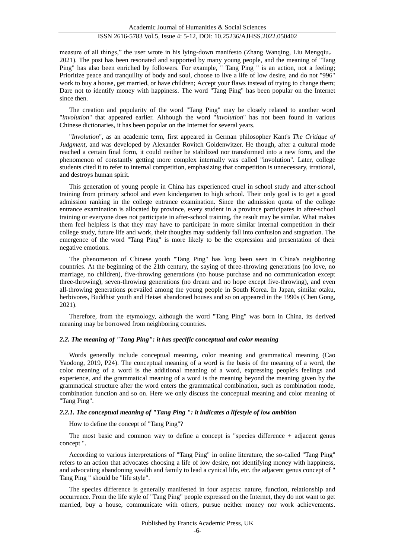measure of all things," the user wrote in his lying-down manifesto (Zhang Wanqing, Liu Mengqiu, 2021). The post has been resonated and supported by many young people, and the meaning of "Tang Ping" has also been enriched by followers. For example, " Tang Ping " is an action, not a feeling; Prioritize peace and tranquility of body and soul, choose to live a life of low desire, and do not "996" work to buy a house, get married, or have children; Accept your flaws instead of trying to change them; Dare not to identify money with happiness. The word "Tang Ping" has been popular on the Internet since then.

The creation and popularity of the word "Tang Ping" may be closely related to another word "*involution*" that appeared earlier. Although the word "*involution*" has not been found in various Chinese dictionaries, it has been popular on the Internet for several years.

"*Involution*", as an academic term, first appeared in German philosopher Kant's *The Critique of Judgment*, and was developed by Alexander Rovitch Goldenwitzer. He though, after a cultural mode reached a certain final form, it could neither be stabilized nor transformed into a new form, and the phenomenon of constantly getting more complex internally was called "involution". Later, college students cited it to refer to internal competition, emphasizing that competition is unnecessary, irrational, and destroys human spirit.

This generation of young people in China has experienced cruel in school study and after-school training from primary school and even kindergarten to high school. Their only goal is to get a good admission ranking in the college entrance examination. Since the admission quota of the college entrance examination is allocated by province, every student in a province participates in after-school training or everyone does not participate in after-school training, the result may be similar. What makes them feel helpless is that they may have to participate in more similar internal competition in their college study, future life and work, their thoughts may suddenly fall into confusion and stagnation. The emergence of the word "Tang Ping" is more likely to be the expression and presentation of their negative emotions.

The phenomenon of Chinese youth "Tang Ping" has long been seen in China's neighboring countries. At the beginning of the 21th century, the saying of three-throwing generations (no love, no marriage, no children), five-throwing generations (no house purchase and no communication except three-throwing), seven-throwing generations (no dream and no hope except five-throwing), and even all-throwing generations prevailed among the young people in South Korea. In Japan, similar otaku, herbivores, Buddhist youth and Heisei abandoned houses and so on appeared in the 1990s (Chen Gong, 2021).

Therefore, from the etymology, although the word "Tang Ping" was born in China, its derived meaning may be borrowed from neighboring countries.

## *2.2. The meaning of "Tang Ping": it has specific conceptual and color meaning*

Words generally include conceptual meaning, color meaning and grammatical meaning (Cao Yaodong, 2019, P24). The conceptual meaning of a word is the basis of the meaning of a word, the color meaning of a word is the additional meaning of a word, expressing people's feelings and experience, and the grammatical meaning of a word is the meaning beyond the meaning given by the grammatical structure after the word enters the grammatical combination, such as combination mode, combination function and so on. Here we only discuss the conceptual meaning and color meaning of "Tang Ping".

## *2.2.1. The conceptual meaning of "Tang Ping ": it indicates a lifestyle of low ambition*

How to define the concept of "Tang Ping"?

The most basic and common way to define a concept is "species difference + adjacent genus concept ".

According to various interpretations of "Tang Ping" in online literature, the so-called "Tang Ping" refers to an action that advocates choosing a life of low desire, not identifying money with happiness, and advocating abandoning wealth and family to lead a cynical life, etc. the adjacent genus concept of " Tang Ping " should be "life style".

The species difference is generally manifested in four aspects: nature, function, relationship and occurrence. From the life style of "Tang Ping" people expressed on the Internet, they do not want to get married, buy a house, communicate with others, pursue neither money nor work achievements.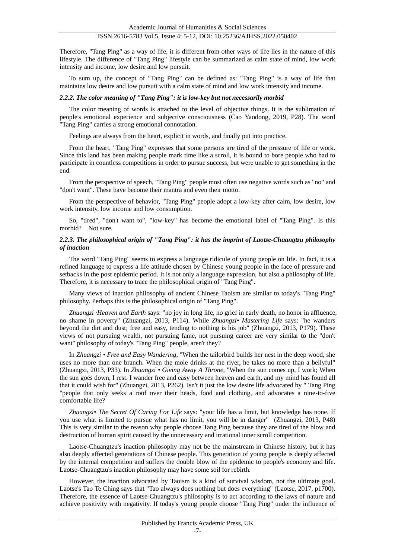Therefore, "Tang Ping" as a way of life, it is different from other ways of life lies in the nature of this lifestyle. The difference of "Tang Ping" lifestyle can be summarized as calm state of mind, low work intensity and income, low desire and low pursuit.

To sum up, the concept of "Tang Ping" can be defined as: "Tang Ping" is a way of life that maintains low desire and low pursuit with a calm state of mind and low work intensity and income.

#### *2.2.2. The color meaning of "Tang Ping": it is low-key but not necessarily morbid*

The color meaning of words is attached to the level of objective things. It is the sublimation of people's emotional experience and subjective consciousness (Cao Yaodong, 2019, P28). The word "Tang Ping" carries a strong emotional connotation.

Feelings are always from the heart, explicit in words, and finally put into practice.

From the heart, "Tang Ping" expresses that some persons are tired of the pressure of life or work. Since this land has been making people mark time like a scroll, it is bound to bore people who had to participate in countless competitions in order to pursue success, but were unable to get something in the end.

From the perspective of speech, "Tang Ping" people most often use negative words such as "no" and "don't want". These have become their mantra and even their motto.

From the perspective of behavior, "Tang Ping" people adopt a low-key after calm, low desire, low work intensity, low income and low consumption.

So, "tired", "don't want to", "low-key" has become the emotional label of "Tang Ping". Is this morbid? Not sure.

## *2.2.3. The philosophical origin of "Tang Ping": it has the imprint of Laotse-Chuangtzu philosophy of inaction*

The word "Tang Ping" seems to express a language ridicule of young people on life. In fact, it is a refined language to express a life attitude chosen by Chinese young people in the face of pressure and setbacks in the post epidemic period. It is not only a language expression, but also a philosophy of life. Therefore, it is necessary to trace the philosophical origin of "Tang Ping".

Many views of inaction philosophy of ancient Chinese Taoism are similar to today's "Tang Ping" philosophy. Perhaps this is the philosophical origin of "Tang Ping".

*Zhuangzi Heaven and Earth* says: "no joy in long life, no grief in early death, no honor in affluence, no shame in poverty" (Zhuangzi, 2013, P114). While *Zhuangzi• Mastering Life* says: "he wanders beyond the dirt and dust; free and easy, tending to nothing is his job" (Zhuangzi, 2013, P179). These views of not pursuing wealth, not pursuing fame, not pursuing career are very similar to the "don't want" philosophy of today's "Tang Ping" people, aren't they?

In *Zhuangzi • Free and Easy Wandering*, "When the tailorbird builds her nest in the deep wood, she uses no more than one branch. When the mole drinks at the river, he takes no more than a bellyful" (Zhuangzi, 2013, P33). In *Zhuangzi • Giving Away A Throne*, "When the sun comes up, I work; When the sun goes down, I rest. I wander free and easy between heaven and earth, and my mind has found all that it could wish for" (Zhuangzi, 2013, P262). Isn't it just the low desire life advocated by " Tang Ping "people that only seeks a roof over their heads, food and clothing, and advocates a nine-to-five comfortable life?

*Zhuangzi• The Secret Of Caring For Life* says: "your life has a limit, but knowledge has none. If you use what is limited to pursue what has no limit, you will be in danger" (Zhuangzi, 2013, P48) This is very similar to the reason why people choose Tang Ping because they are tired of the blow and destruction of human spirit caused by the unnecessary and irrational inner scroll competition.

Laotse-Chuangtzu's inaction philosophy may not be the mainstream in Chinese history, but it has also deeply affected generations of Chinese people. This generation of young people is deeply affected by the internal competition and suffers the double blow of the epidemic to people's economy and life. Laotse-Chuangtzu's inaction philosophy may have some soil for rebirth.

However, the inaction advocated by Taoism is a kind of survival wisdom, not the ultimate goal. Laotse's Tao Te Ching says that "Tao always does nothing but does everything" (Laotse, 2017, p1700). Therefore, the essence of Laotse-Chuangtzu's philosophy is to act according to the laws of nature and achieve positivity with negativity. If today's young people choose "Tang Ping" under the influence of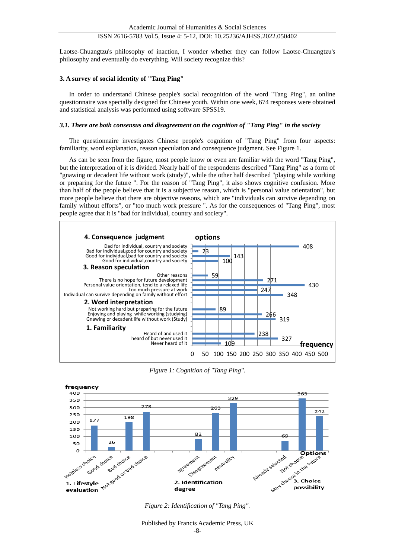Laotse-Chuangtzu's philosophy of inaction, I wonder whether they can follow Laotse-Chuangtzu's philosophy and eventually do everything. Will society recognize this?

## **3. A survey of social identity of "Tang Ping"**

In order to understand Chinese people's social recognition of the word "Tang Ping", an online questionnaire was specially designed for Chinese youth. Within one week, 674 responses were obtained and statistical analysis was performed using software SPSS19.

## *3.1. There are both consensus and disagreement on the cognition of "Tang Ping" in the society*

The questionnaire investigates Chinese people's cognition of "Tang Ping" from four aspects: familiarity, word explanation, reason speculation and consequence judgment. See Figure 1.

As can be seen from the figure, most people know or even are familiar with the word "Tang Ping", but the interpretation of it is divided. Nearly half of the respondents described "Tang Ping" as a form of "gnawing or decadent life without work (study)", while the other half described "playing while working or preparing for the future ". For the reason of "Tang Ping", it also shows cognitive confusion. More than half of the people believe that it is a subjective reason, which is "personal value orientation", but more people believe that there are objective reasons, which are "individuals can survive depending on family without efforts", or "too much work pressure ". As for the consequences of "Tang Ping", most people agree that it is "bad for individual, country and society".



*Figure 1: Cognition of "Tang Ping".*

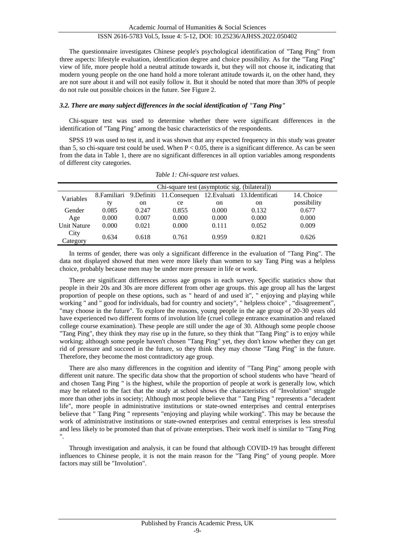The questionnaire investigates Chinese people's psychological identification of "Tang Ping" from three aspects: lifestyle evaluation, identification degree and choice possibility. As for the "Tang Ping" view of life, more people hold a neutral attitude towards it, but they will not choose it, indicating that modern young people on the one hand hold a more tolerant attitude towards it, on the other hand, they are not sure about it and will not easily follow it. But it should be noted that more than 30% of people do not rule out possible choices in the future. See Figure 2.

## *3.2. There are many subject differences in the social identification of "Tang Ping"*

Chi-square test was used to determine whether there were significant differences in the identification of "Tang Ping" among the basic characteristics of the respondents.

SPSS 19 was used to test it, and it was shown that any expected frequency in this study was greater than 5, so chi-square test could be used. When  $P < 0.05$ , there is a significant difference. As can be seen from the data in Table 1, there are no significant differences in all option variables among respondents of different city categories.

|                    | Chi-square test (asymptotic sig. (bilateral)) |               |                                                                      |       |               |             |
|--------------------|-----------------------------------------------|---------------|----------------------------------------------------------------------|-------|---------------|-------------|
| Variables          |                                               |               | 8. Familiari 9. Definiti 11. Consequen 12. Evaluati 13. Identificati |       |               | 14. Choice  |
|                    | ty                                            | <sub>on</sub> | ce                                                                   | on    | <sub>on</sub> | possibility |
| Gender             | 0.085                                         | 0.247         | 0.855                                                                | 0.000 | 0.132         | 0.677       |
| Age                | 0.000                                         | 0.007         | 0.000                                                                | 0.000 | 0.000         | 0.000       |
| <b>Unit Nature</b> | 0.000                                         | 0.021         | 0.000                                                                | 0.111 | 0.052         | 0.009       |
| City<br>Category   | 0.634                                         | 0.618         | 0.761                                                                | 0.959 | 0.821         | 0.626       |

*Table 1: Chi-square test values.*

In terms of gender, there was only a significant difference in the evaluation of "Tang Ping". The data not displayed showed that men were more likely than women to say Tang Ping was a helpless choice, probably because men may be under more pressure in life or work.

There are significant differences across age groups in each survey. Specific statistics show that people in their 20s and 30s are more different from other age groups. this age group all has the largest proportion of people on these options, such as " heard of and used it", " enjoying and playing while working " and " good for individuals, bad for country and society", " helpless choice" , "disagreement", "may choose in the future". To explore the reasons, young people in the age group of 20-30 years old have experienced two different forms of involution life (cruel college entrance examination and relaxed college course examination). These people are still under the age of 30. Although some people choose "Tang Ping", they think they may rise up in the future, so they think that "Tang Ping" is to enjoy while working; although some people haven't chosen "Tang Ping" yet, they don't know whether they can get rid of pressure and succeed in the future, so they think they may choose "Tang Ping" in the future. Therefore, they become the most contradictory age group.

There are also many differences in the cognition and identity of "Tang Ping" among people with different unit nature. The specific data show that the proportion of school students who have "heard of and chosen Tang Ping " is the highest, while the proportion of people at work is generally low, which may be related to the fact that the study at school shows the characteristics of "Involution" struggle more than other jobs in society; Although most people believe that " Tang Ping " represents a "decadent life", more people in administrative institutions or state-owned enterprises and central enterprises believe that " Tang Ping " represents "enjoying and playing while working". This may be because the work of administrative institutions or state-owned enterprises and central enterprises is less stressful and less likely to be promoted than that of private enterprises. Their work itself is similar to "Tang Ping ".

Through investigation and analysis, it can be found that although COVID-19 has brought different influences to Chinese people, it is not the main reason for the "Tang Ping" of young people. More factors may still be "Involution".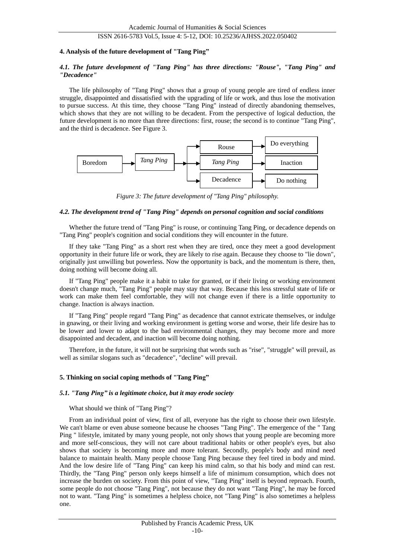## **4. Analysis of the future development of "Tang Ping"**

## *4.1. The future development of "Tang Ping" has three directions: "Rouse", "Tang Ping" and "Decadence"*

The life philosophy of "Tang Ping" shows that a group of young people are tired of endless inner struggle, disappointed and dissatisfied with the upgrading of life or work, and thus lose the motivation to pursue success. At this time, they choose "Tang Ping" instead of directly abandoning themselves, which shows that they are not willing to be decadent. From the perspective of logical deduction, the future development is no more than three directions: first, rouse; the second is to continue "Tang Ping", and the third is decadence. See Figure 3.



*Figure 3: The future development of "Tang Ping" philosophy.*

#### *4.2. The development trend of "Tang Ping" depends on personal cognition and social conditions*

Whether the future trend of "Tang Ping" is rouse, or continuing Tang Ping, or decadence depends on "Tang Ping" people's cognition and social conditions they will encounter in the future.

If they take "Tang Ping" as a short rest when they are tired, once they meet a good development opportunity in their future life or work, they are likely to rise again. Because they choose to "lie down", originally just unwilling but powerless. Now the opportunity is back, and the momentum is there, then, doing nothing will become doing all.

If "Tang Ping" people make it a habit to take for granted, or if their living or working environment doesn't change much, "Tang Ping" people may stay that way. Because this less stressful state of life or work can make them feel comfortable, they will not change even if there is a little opportunity to change. Inaction is always inaction.

If "Tang Ping" people regard "Tang Ping" as decadence that cannot extricate themselves, or indulge in gnawing, or their living and working environment is getting worse and worse, their life desire has to be lower and lower to adapt to the bad environmental changes, they may become more and more disappointed and decadent, and inaction will become doing nothing.

Therefore, in the future, it will not be surprising that words such as "rise", "struggle" will prevail, as well as similar slogans such as "decadence", "decline" will prevail.

#### **5. Thinking on social coping methods of "Tang Ping"**

#### *5.1. "Tang Ping" is a legitimate choice, but it may erode society*

What should we think of "Tang Ping"?

From an individual point of view, first of all, everyone has the right to choose their own lifestyle. We can't blame or even abuse someone because he chooses "Tang Ping". The emergence of the " Tang Ping " lifestyle, imitated by many young people, not only shows that young people are becoming more and more self-conscious, they will not care about traditional habits or other people's eyes, but also shows that society is becoming more and more tolerant. Secondly, people's body and mind need balance to maintain health. Many people choose Tang Ping because they feel tired in body and mind. And the low desire life of "Tang Ping" can keep his mind calm, so that his body and mind can rest. Thirdly, the "Tang Ping" person only keeps himself a life of minimum consumption, which does not increase the burden on society. From this point of view, "Tang Ping" itself is beyond reproach. Fourth, some people do not choose "Tang Ping", not because they do not want "Tang Ping", he may be forced not to want. "Tang Ping" is sometimes a helpless choice, not "Tang Ping" is also sometimes a helpless one.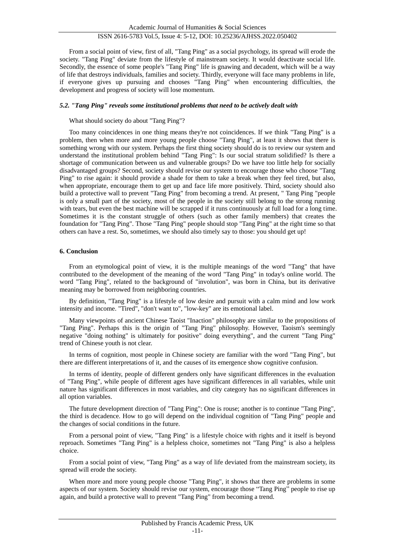From a social point of view, first of all, "Tang Ping" as a social psychology, its spread will erode the society. "Tang Ping" deviate from the lifestyle of mainstream society. It would deactivate social life. Secondly, the essence of some people's "Tang Ping" life is gnawing and decadent, which will be a way of life that destroys individuals, families and society. Thirdly, everyone will face many problems in life, if everyone gives up pursuing and chooses "Tang Ping" when encountering difficulties, the development and progress of society will lose momentum.

## *5.2. "Tang Ping" reveals some institutional problems that need to be actively dealt with*

## What should society do about "Tang Ping"?

Too many coincidences in one thing means they're not coincidences. If we think "Tang Ping" is a problem, then when more and more young people choose "Tang Ping", at least it shows that there is something wrong with our system. Perhaps the first thing society should do is to review our system and understand the institutional problem behind "Tang Ping": Is our social stratum solidified? Is there a shortage of communication between us and vulnerable groups? Do we have too little help for socially disadvantaged groups? Second, society should revise our system to encourage those who choose "Tang Ping" to rise again: it should provide a shade for them to take a break when they feel tired, but also, when appropriate, encourage them to get up and face life more positively. Third, society should also build a protective wall to prevent "Tang Ping" from becoming a trend. At present, " Tang Ping "people is only a small part of the society, most of the people in the society still belong to the strong running with tears, but even the best machine will be scrapped if it runs continuously at full load for a long time. Sometimes it is the constant struggle of others (such as other family members) that creates the foundation for "Tang Ping". Those "Tang Ping" people should stop "Tang Ping" at the right time so that others can have a rest. So, sometimes, we should also timely say to those: you should get up!

## **6. Conclusion**

From an etymological point of view, it is the multiple meanings of the word "Tang" that have contributed to the development of the meaning of the word "Tang Ping" in today's online world. The word "Tang Ping", related to the background of "involution", was born in China, but its derivative meaning may be borrowed from neighboring countries.

By definition, "Tang Ping" is a lifestyle of low desire and pursuit with a calm mind and low work intensity and income. "Tired", "don't want to", "low-key" are its emotional label.

Many viewpoints of ancient Chinese Taoist "Inaction" philosophy are similar to the propositions of "Tang Ping". Perhaps this is the origin of "Tang Ping" philosophy. However, Taoism's seemingly negative "doing nothing" is ultimately for positive" doing everything", and the current "Tang Ping" trend of Chinese youth is not clear.

In terms of cognition, most people in Chinese society are familiar with the word "Tang Ping", but there are different interpretations of it, and the causes of its emergence show cognitive confusion.

In terms of identity, people of different genders only have significant differences in the evaluation of "Tang Ping", while people of different ages have significant differences in all variables, while unit nature has significant differences in most variables, and city category has no significant differences in all option variables.

The future development direction of "Tang Ping": One is rouse; another is to continue "Tang Ping", the third is decadence. How to go will depend on the individual cognition of "Tang Ping" people and the changes of social conditions in the future.

From a personal point of view, "Tang Ping" is a lifestyle choice with rights and it itself is beyond reproach. Sometimes "Tang Ping" is a helpless choice, sometimes not "Tang Ping" is also a helpless choice.

From a social point of view, "Tang Ping" as a way of life deviated from the mainstream society, its spread will erode the society.

When more and more young people choose "Tang Ping", it shows that there are problems in some aspects of our system. Society should revise our system, encourage those "Tang Ping" people to rise up again, and build a protective wall to prevent "Tang Ping" from becoming a trend.